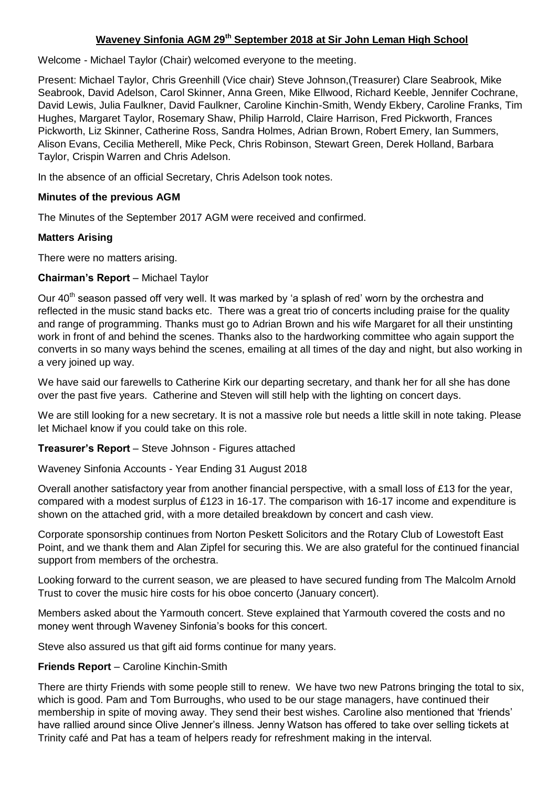# **Waveney Sinfonia AGM 29th September 2018 at Sir John Leman High School**

Welcome - Michael Taylor (Chair) welcomed everyone to the meeting.

Present: Michael Taylor, Chris Greenhill (Vice chair) Steve Johnson,(Treasurer) Clare Seabrook, Mike Seabrook, David Adelson, Carol Skinner, Anna Green, Mike Ellwood, Richard Keeble, Jennifer Cochrane, David Lewis, Julia Faulkner, David Faulkner, Caroline Kinchin-Smith, Wendy Ekbery, Caroline Franks, Tim Hughes, Margaret Taylor, Rosemary Shaw, Philip Harrold, Claire Harrison, Fred Pickworth, Frances Pickworth, Liz Skinner, Catherine Ross, Sandra Holmes, Adrian Brown, Robert Emery, Ian Summers, Alison Evans, Cecilia Metherell, Mike Peck, Chris Robinson, Stewart Green, Derek Holland, Barbara Taylor, Crispin Warren and Chris Adelson.

In the absence of an official Secretary, Chris Adelson took notes.

### **Minutes of the previous AGM**

The Minutes of the September 2017 AGM were received and confirmed.

#### **Matters Arising**

There were no matters arising.

### **Chairman's Report** – Michael Taylor

Our 40<sup>th</sup> season passed off very well. It was marked by 'a splash of red' worn by the orchestra and reflected in the music stand backs etc. There was a great trio of concerts including praise for the quality and range of programming. Thanks must go to Adrian Brown and his wife Margaret for all their unstinting work in front of and behind the scenes. Thanks also to the hardworking committee who again support the converts in so many ways behind the scenes, emailing at all times of the day and night, but also working in a very joined up way.

We have said our farewells to Catherine Kirk our departing secretary, and thank her for all she has done over the past five years. Catherine and Steven will still help with the lighting on concert days.

We are still looking for a new secretary. It is not a massive role but needs a little skill in note taking. Please let Michael know if you could take on this role.

**Treasurer's Report** – Steve Johnson - Figures attached

Waveney Sinfonia Accounts - Year Ending 31 August 2018

Overall another satisfactory year from another financial perspective, with a small loss of £13 for the year, compared with a modest surplus of £123 in 16-17. The comparison with 16-17 income and expenditure is shown on the attached grid, with a more detailed breakdown by concert and cash view.

Corporate sponsorship continues from Norton Peskett Solicitors and the Rotary Club of Lowestoft East Point, and we thank them and Alan Zipfel for securing this. We are also grateful for the continued financial support from members of the orchestra.

Looking forward to the current season, we are pleased to have secured funding from The Malcolm Arnold Trust to cover the music hire costs for his oboe concerto (January concert).

Members asked about the Yarmouth concert. Steve explained that Yarmouth covered the costs and no money went through Waveney Sinfonia's books for this concert.

Steve also assured us that gift aid forms continue for many years.

### **Friends Report** – Caroline Kinchin-Smith

There are thirty Friends with some people still to renew. We have two new Patrons bringing the total to six, which is good. Pam and Tom Burroughs, who used to be our stage managers, have continued their membership in spite of moving away. They send their best wishes. Caroline also mentioned that 'friends' have rallied around since Olive Jenner's illness. Jenny Watson has offered to take over selling tickets at Trinity café and Pat has a team of helpers ready for refreshment making in the interval.